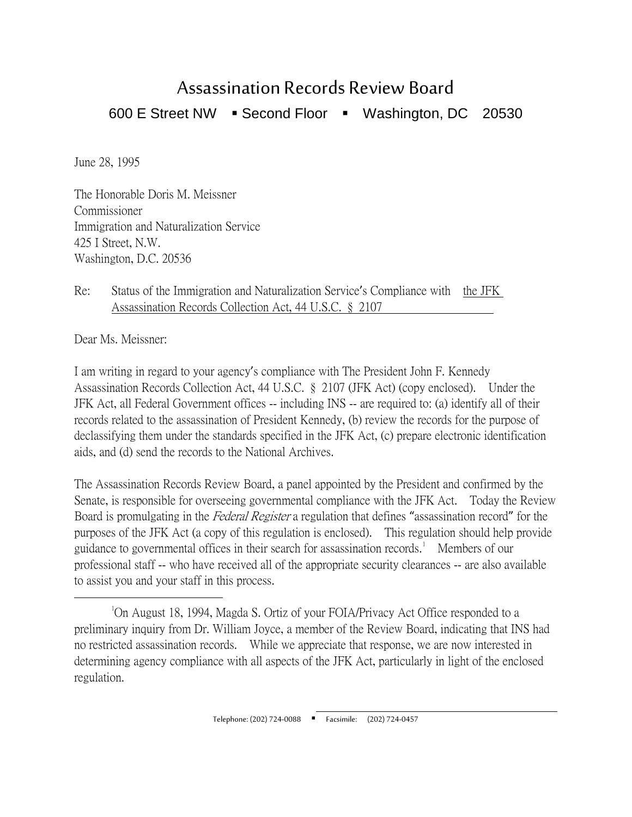## Assassination Records Review Board

600 E Street NW · Second Floor · Washington, DC 20530

June 28, 1995

The Honorable Doris M. Meissner Commissioner Immigration and Naturalization Service 425 I Street, N.W. Washington, D.C. 20536

## Re: Status of the Immigration and Naturalization Service's Compliance with the JFK Assassination Records Collection Act, 44 U.S.C. § 2107

Dear Ms. Meissner:

I am writing in regard to your agency's compliance with The President John F. Kennedy Assassination Records Collection Act, 44 U.S.C. § 2107 (JFK Act) (copy enclosed). Under the JFK Act, all Federal Government offices -- including INS -- are required to: (a) identify all of their records related to the assassination of President Kennedy, (b) review the records for the purpose of declassifying them under the standards specified in the JFK Act, (c) prepare electronic identification aids, and (d) send the records to the National Archives.

The Assassination Records Review Board, a panel appointed by the President and confirmed by the Senate, is responsible for overseeing governmental compliance with the JFK Act. Today the Review Board is promulgating in the Federal Register a regulation that defines "assassination record" for the purposes of the JFK Act (a copy of this regulation is enclosed). This regulation should help provide guidance to governmental offices in their search for assassination records.<sup>[1](#page-0-0)</sup> Members of our professional staff -- who have received all of the appropriate security clearances -- are also available to assist you and your staff in this process.

<span id="page-0-0"></span> $\overline{\phantom{a}}$ On August 18, 1994, Magda S. Ortiz of your FOIA/Privacy Act Office responded to a preliminary inquiry from Dr. William Joyce, a member of the Review Board, indicating that INS had no restricted assassination records. While we appreciate that response, we are now interested in determining agency compliance with all aspects of the JFK Act, particularly in light of the enclosed regulation.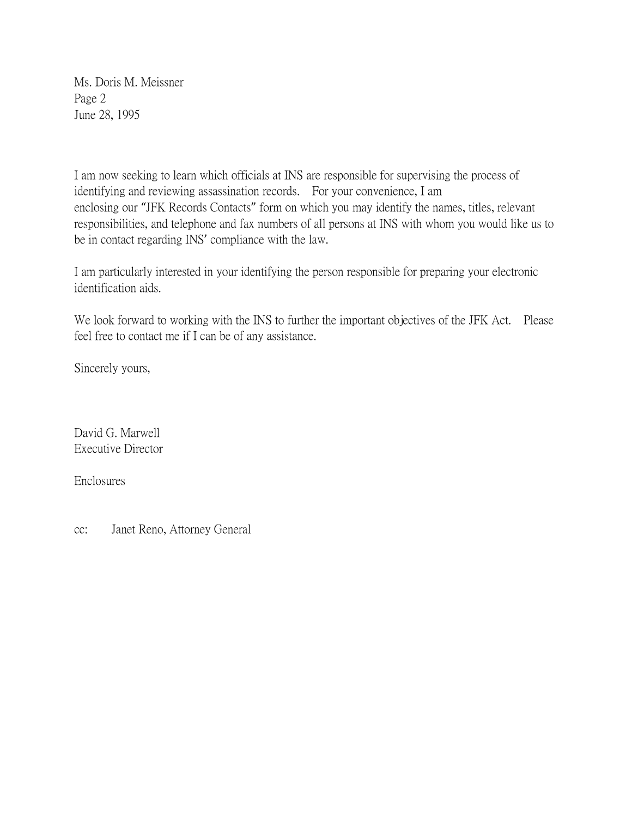Ms. Doris M. Meissner Page 2 June 28, 1995

I am now seeking to learn which officials at INS are responsible for supervising the process of identifying and reviewing assassination records. For your convenience, I am enclosing our "JFK Records Contacts" form on which you may identify the names, titles, relevant responsibilities, and telephone and fax numbers of all persons at INS with whom you would like us to be in contact regarding INS' compliance with the law.

I am particularly interested in your identifying the person responsible for preparing your electronic identification aids.

We look forward to working with the INS to further the important objectives of the JFK Act. Please feel free to contact me if I can be of any assistance.

Sincerely yours,

David G. Marwell Executive Director

Enclosures

cc: Janet Reno, Attorney General